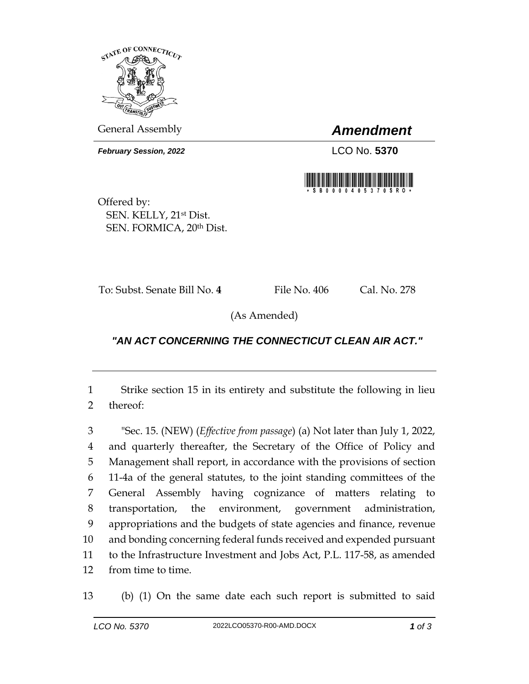

General Assembly *Amendment*

**February Session, 2022** LCO No. 5370



Offered by: SEN. KELLY, 21st Dist. SEN. FORMICA, 20th Dist.

To: Subst. Senate Bill No. 4 File No. 406 Cal. No. 278

(As Amended)

## *"AN ACT CONCERNING THE CONNECTICUT CLEAN AIR ACT."*

1 Strike section 15 in its entirety and substitute the following in lieu 2 thereof:

 "Sec. 15. (NEW) (*Effective from passage*) (a) Not later than July 1, 2022, and quarterly thereafter, the Secretary of the Office of Policy and Management shall report, in accordance with the provisions of section 11-4a of the general statutes, to the joint standing committees of the General Assembly having cognizance of matters relating to transportation, the environment, government administration, appropriations and the budgets of state agencies and finance, revenue and bonding concerning federal funds received and expended pursuant to the Infrastructure Investment and Jobs Act, P.L. 117-58, as amended from time to time.

13 (b) (1) On the same date each such report is submitted to said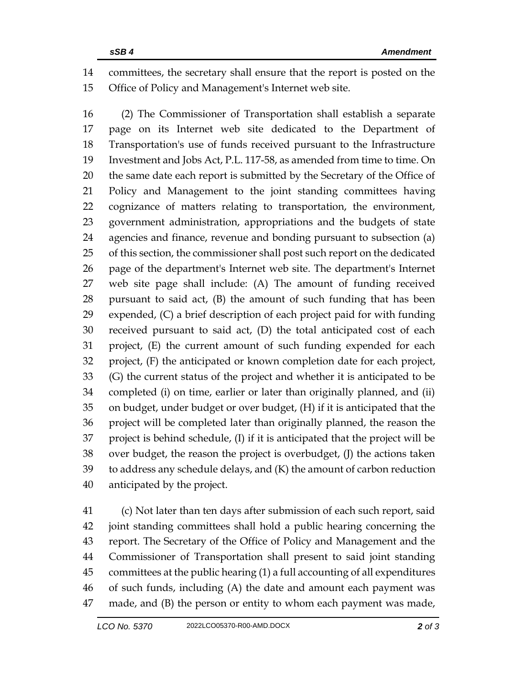committees, the secretary shall ensure that the report is posted on the Office of Policy and Management's Internet web site.

 (2) The Commissioner of Transportation shall establish a separate page on its Internet web site dedicated to the Department of Transportation's use of funds received pursuant to the Infrastructure Investment and Jobs Act, P.L. 117-58, as amended from time to time. On 20 the same date each report is submitted by the Secretary of the Office of Policy and Management to the joint standing committees having cognizance of matters relating to transportation, the environment, government administration, appropriations and the budgets of state agencies and finance, revenue and bonding pursuant to subsection (a) of this section, the commissioner shall post such report on the dedicated page of the department's Internet web site. The department's Internet web site page shall include: (A) The amount of funding received pursuant to said act, (B) the amount of such funding that has been expended, (C) a brief description of each project paid for with funding received pursuant to said act, (D) the total anticipated cost of each project, (E) the current amount of such funding expended for each project, (F) the anticipated or known completion date for each project, (G) the current status of the project and whether it is anticipated to be completed (i) on time, earlier or later than originally planned, and (ii) on budget, under budget or over budget, (H) if it is anticipated that the project will be completed later than originally planned, the reason the project is behind schedule, (I) if it is anticipated that the project will be over budget, the reason the project is overbudget, (J) the actions taken to address any schedule delays, and (K) the amount of carbon reduction anticipated by the project.

 (c) Not later than ten days after submission of each such report, said joint standing committees shall hold a public hearing concerning the report. The Secretary of the Office of Policy and Management and the Commissioner of Transportation shall present to said joint standing committees at the public hearing (1) a full accounting of all expenditures of such funds, including (A) the date and amount each payment was made, and (B) the person or entity to whom each payment was made,